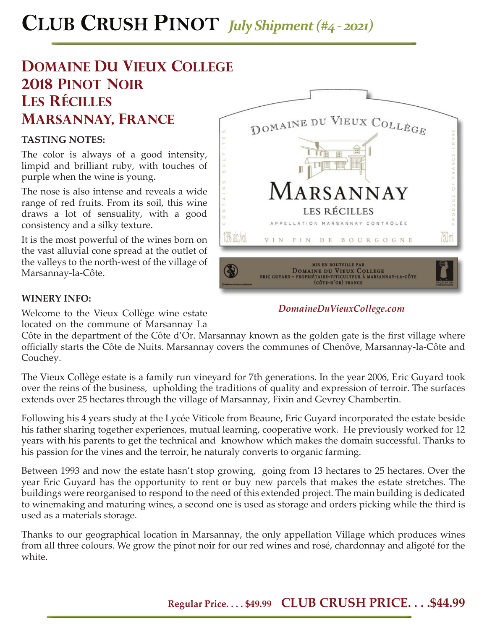# **CLUB CRUSH PINOT** *July Shipment (#4 - 2021)*

## **DOMAINE DU VIEUX COLLEGE 2018 pinot noir les récilles marsannay, france**

### **TASTING NOTES:**

The color is always of a good intensity, limpid and brilliant ruby, with touches of purple when the wine is young.

The nose is also intense and reveals a wide range of red fruits. From its soil, this wine draws a lot of sensuality, with a good consistency and a silky texture.

It is the most powerful of the wines born on the vast alluvial cone spread at the outlet of the valleys to the north-west of the village of Marsannay-la-Côte.



### **WINERY INFO:**

Welcome to the Vieux Collège wine estate located on the commune of Marsannay La

Côte in the department of the Côte d'Or. Marsannay known as the golden gate is the first village where officially starts the Côte de Nuits. Marsannay covers the communes of Chenôve, Marsannay-la-Côte and Couchey.

The Vieux Collège estate is a family run vineyard for 7th generations. In the year 2006, Eric Guyard took over the reins of the business, upholding the traditions of quality and expression of terroir. The surfaces extends over 25 hectares through the village of Marsannay, Fixin and Gevrey Chambertin.

Following his 4 years study at the Lycée Viticole from Beaune, Eric Guyard incorporated the estate beside his father sharing together experiences, mutual learning, cooperative work. He previously worked for 12 years with his parents to get the technical and knowhow which makes the domain successful. Thanks to his passion for the vines and the terroir, he naturaly converts to organic farming.

Between 1993 and now the estate hasn't stop growing, going from 13 hectares to 25 hectares. Over the year Eric Guyard has the opportunity to rent or buy new parcels that makes the estate stretches. The buildings were reorganised to respond to the need of this extended project. The main building is dedicated to winemaking and maturing wines, a second one is used as storage and orders picking while the third is used as a materials storage.

Thanks to our geographical location in Marsannay, the only appellation Village which produces wines from all three colours. We grow the pinot noir for our red wines and rosé, chardonnay and aligoté for the white.

### *DomaineDuVieuxCollege.com*